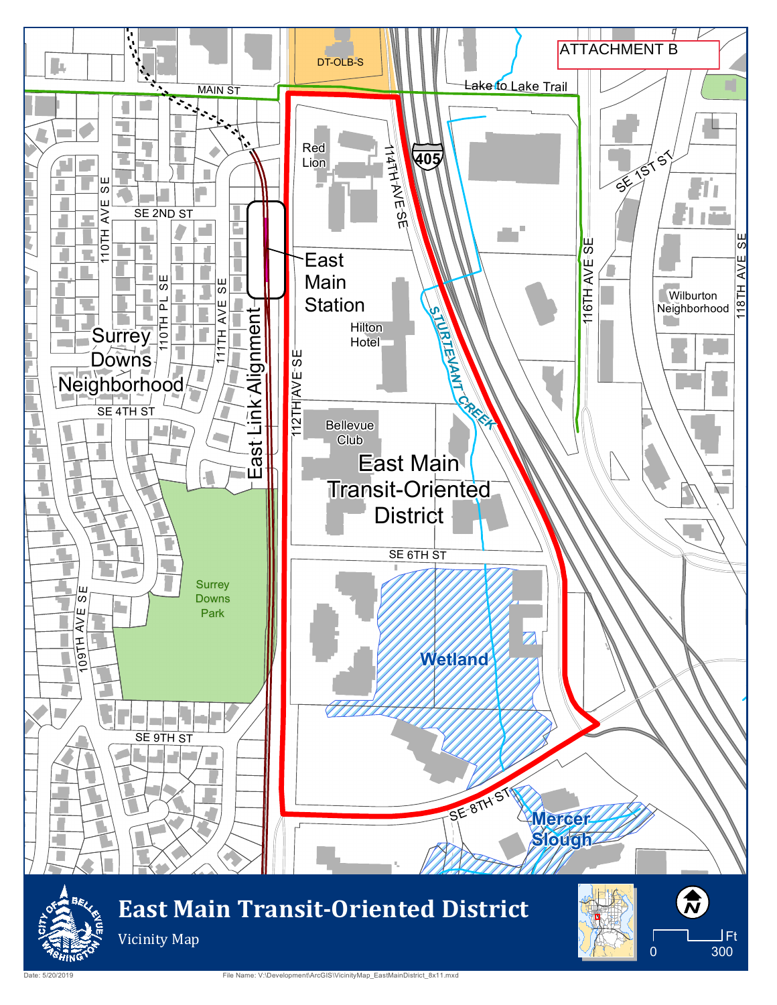

Vicinity Map

**East Main Transit-Oriented District**